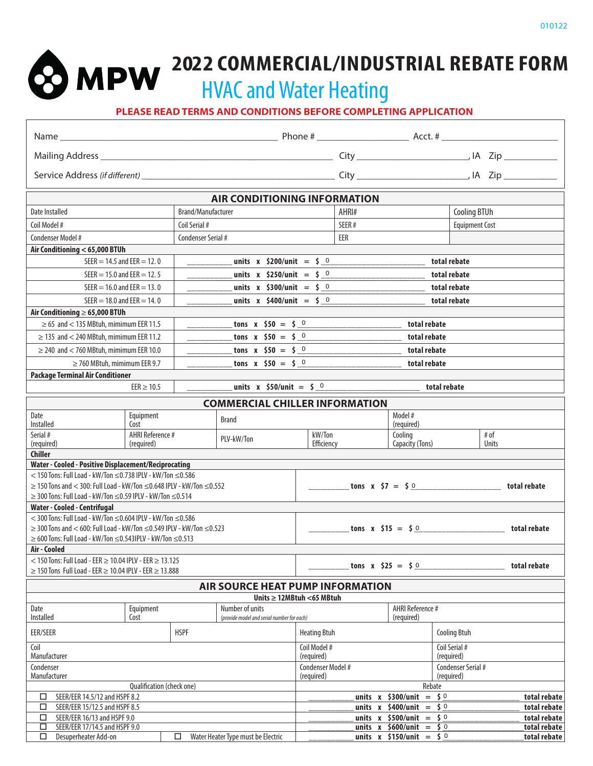**2022 COMMERCIAL/INDUSTRIAL REBATE FORM** HVAC and Water Heating

**PLEASE READ TERMS AND CONDITIONS BEFORE COMPLETING APPLICATION**

| <b>AIR CONDITIONING INFORMATION</b>                                                                                                                           |                              |  |  |  |  |  |  |
|---------------------------------------------------------------------------------------------------------------------------------------------------------------|------------------------------|--|--|--|--|--|--|
| <b>Cooling BTUh</b><br>Brand/Manufacturer<br>AHRI#<br>Date Installed                                                                                          |                              |  |  |  |  |  |  |
| Coil Model #<br>Coil Serial #<br>SEER#<br><b>Equipment Cost</b>                                                                                               |                              |  |  |  |  |  |  |
| Condenser Model #<br>Condenser Serial #<br>EER                                                                                                                |                              |  |  |  |  |  |  |
| Air Conditioning < 65,000 BTUh                                                                                                                                |                              |  |  |  |  |  |  |
| $SEER = 14.5$ and $EER = 12.0$<br>total rebate<br>_units x \$200/unit = \$_0                                                                                  |                              |  |  |  |  |  |  |
| SEER = $15.0$ and EER = $12.5$<br>units x $$250/unit = $0$<br>total rebate                                                                                    |                              |  |  |  |  |  |  |
| $SEER = 16.0$ and $EER = 13.0$<br>units x \$300/unit = \$ 0<br>total rebate                                                                                   |                              |  |  |  |  |  |  |
| $SEER = 18.0$ and $EER = 14.0$<br>units x \$400/unit = \$ 0<br>total rebate                                                                                   |                              |  |  |  |  |  |  |
| Air Conditioning $\geq 65,000$ BTUh                                                                                                                           |                              |  |  |  |  |  |  |
| tons x $$50 = $ 0$<br>$\geq$ 65 and < 135 MBtuh, mimimum EER 11.5<br>total rebate                                                                             |                              |  |  |  |  |  |  |
| $\geq$ 135 and < 240 MBtuh, mimimum EER 11.2<br>tons x $$50 = $ 0$<br>total rebate                                                                            |                              |  |  |  |  |  |  |
| tons x $$50 = $0$<br>$\geq$ 240 and < 760 MBtuh, mimimum EER 10.0<br>total rebate                                                                             |                              |  |  |  |  |  |  |
| tons x $$50 = $0$<br>$\geq$ 760 MBtuh, mimimum EER 9.7<br>total rebate                                                                                        |                              |  |  |  |  |  |  |
| <b>Package Terminal Air Conditioner</b>                                                                                                                       |                              |  |  |  |  |  |  |
| units x $$50/unit = $0$<br>total rebate<br>$EER \geq 10.5$                                                                                                    |                              |  |  |  |  |  |  |
| <b>COMMERCIAL CHILLER INFORMATION</b>                                                                                                                         |                              |  |  |  |  |  |  |
| Model #<br>Equipment<br>Date<br><b>Brand</b><br>Installed<br>Cost<br>(required)                                                                               |                              |  |  |  |  |  |  |
| AHRI Reference #<br>kW/Ton<br>Serial #<br># of<br>Cooling                                                                                                     |                              |  |  |  |  |  |  |
| PLV-kW/Ton<br>(required)<br>Efficiency<br>Capacity (Tons)<br>Units<br>(required)                                                                              |                              |  |  |  |  |  |  |
| <b>Chiller</b>                                                                                                                                                |                              |  |  |  |  |  |  |
| Water - Cooled - Positive Displacement/Reciprocating<br>$<$ 150 Tons: Full Load - kW/Ton $\leq$ 0.738 IPLV - kW/Ton $\leq$ 0.586                              |                              |  |  |  |  |  |  |
| tons $x \times 57 = 50$<br>$\geq$ 150 Tons and < 300: Full Load - kW/Ton $\leq$ 0.648 IPLV - kW/Ton $\leq$ 0.552<br>total rebate                              |                              |  |  |  |  |  |  |
| $\geq$ 300 Tons: Full Load - kW/Ton $\leq$ 0.59 IPLV - kW/Ton $\leq$ 0.514                                                                                    |                              |  |  |  |  |  |  |
| Water - Cooled - Centrifugal                                                                                                                                  |                              |  |  |  |  |  |  |
| $<$ 300 Tons: Full Load - kW/Ton $\leq$ 0.604 IPLV - kW/Ton $\leq$ 0.586                                                                                      |                              |  |  |  |  |  |  |
| $\geq$ 300 Tons and < 600: Full Load - kW/Ton $\leq$ 0.549 IPLV - kW/Ton $\leq$ 0.523<br>tons $x \, 515 = 50$                                                 | total rebate                 |  |  |  |  |  |  |
| $\geq$ 600 Tons: Full Load - kW/Ton $\leq$ 0.543IPLV - kW/Ton $\leq$ 0.513                                                                                    |                              |  |  |  |  |  |  |
| Air - Cooled<br>$<$ 150 Tons: Full Load - EER $\geq$ 10.04 IPLV - EER $\geq$ 13.125                                                                           |                              |  |  |  |  |  |  |
| tons x $$25 = $0$<br>$\geq$ 150 Tons Full Load - EER $\geq$ 10.04 IPLV - EER $\geq$ 13.888                                                                    | total rebate                 |  |  |  |  |  |  |
| <b>AIR SOURCE HEAT PUMP INFORMATION</b>                                                                                                                       |                              |  |  |  |  |  |  |
| Units $\geq$ 12MBtuh <65 MBtuh                                                                                                                                |                              |  |  |  |  |  |  |
| Number of units<br>AHRI Reference #<br>Equipment<br>Date                                                                                                      |                              |  |  |  |  |  |  |
| Installed<br>Cost<br>(required)<br>(provide model and serial number for each)                                                                                 |                              |  |  |  |  |  |  |
| EER/SEER<br><b>HSPF</b><br><b>Heating Btuh</b><br><b>Cooling Btuh</b>                                                                                         |                              |  |  |  |  |  |  |
| Coil Model #<br>Coil<br>Coil Serial #<br>Manufacturer<br>(required)<br>(required)                                                                             |                              |  |  |  |  |  |  |
| Condenser<br>Condenser Serial #<br>Condenser Model #                                                                                                          |                              |  |  |  |  |  |  |
| Manufacturer<br>(required)<br>(required)<br>Qualification (check one)<br>Rebate                                                                               |                              |  |  |  |  |  |  |
| $=$ \$ 0<br>units $x$ \$300/unit<br>SEER/EER 14.5/12 and HSPF 8.2<br>□                                                                                        | total rebate                 |  |  |  |  |  |  |
| SEER/EER 15/12.5 and HSPF 8.5<br>units x \$400/unit = \$ 0<br>□                                                                                               | total rebate                 |  |  |  |  |  |  |
| units x $$500/unit = $0$<br>SEER/EER 16/13 and HSPF 9.0<br>□                                                                                                  | total rebate                 |  |  |  |  |  |  |
| SEER/EER 17/14.5 and HSPF 9.0<br>□<br>units x $$600/unit = $0$<br>units x $$150/unit = $0$<br>Water Heater Type must be Electric<br>Desuperheater Add-on<br>□ | total rebate<br>total rebate |  |  |  |  |  |  |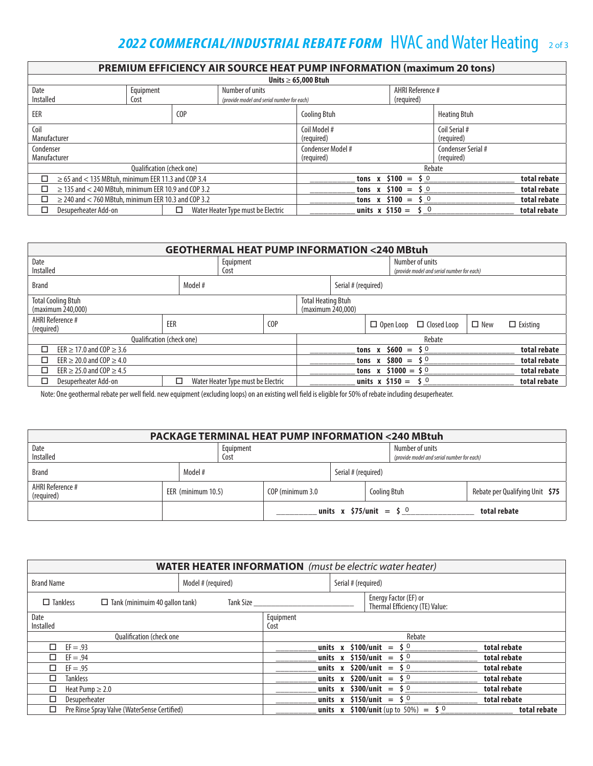# **2022 COMMERCIAL/INDUSTRIAL REBATE FORM HVAC and Water Heating 20f3**

| <b>PREMIUM EFFICIENCY AIR SOURCE HEAT PUMP INFORMATION (maximum 20 tons)</b> |                                                            |                  |                                            |                     |                     |                     |              |  |
|------------------------------------------------------------------------------|------------------------------------------------------------|------------------|--------------------------------------------|---------------------|---------------------|---------------------|--------------|--|
| Units $\geq 65,000$ Btuh                                                     |                                                            |                  |                                            |                     |                     |                     |              |  |
| Date                                                                         | Equipment<br>Number of units                               |                  | AHRI Reference #                           |                     |                     |                     |              |  |
| Installed                                                                    | Cost                                                       |                  | (provide model and serial number for each) |                     | (required)          |                     |              |  |
| EER                                                                          |                                                            | C <sub>O</sub> P |                                            | <b>Cooling Btuh</b> |                     | <b>Heating Btuh</b> |              |  |
| Coil                                                                         |                                                            |                  | Coil Model #                               |                     | Coil Serial #       |                     |              |  |
| Manufacturer                                                                 |                                                            |                  |                                            | (required)          |                     | (required)          |              |  |
| Condenser                                                                    |                                                            |                  |                                            | Condenser Model #   |                     | Condenser Serial #  |              |  |
| Manufacturer                                                                 |                                                            |                  |                                            | (required)          |                     | (required)          |              |  |
|                                                                              | <b>Oualification (check one)</b>                           |                  |                                            |                     |                     | Rebate              |              |  |
| п                                                                            | $\geq$ 65 and < 135 MBtuh, minimum EER 11.3 and COP 3.4    |                  |                                            |                     | tons x $$100 = $0$  |                     | total rebate |  |
| $\geq$ 135 and < 240 MBtuh, minimum EER 10.9 and COP 3.2<br>◻                |                                                            |                  |                                            | tons x $$100 = $0$  |                     | total rebate        |              |  |
| ◻                                                                            | $\geq$ 240 and $<$ 760 MBtuh, minimum EER 10.3 and COP 3.2 |                  |                                            |                     | tons x $$100 = $0$  |                     | total rebate |  |
| Desuperheater Add-on                                                         |                                                            | п                | Water Heater Type must be Electric         |                     | units x $$150 = $0$ |                     | total rebate |  |

| <b>GEOTHERMAL HEAT PUMP INFORMATION &lt;240 MBtuh</b>                                            |                                            |                    |                                    |                  |                       |                 |                  |                                            |              |                 |
|--------------------------------------------------------------------------------------------------|--------------------------------------------|--------------------|------------------------------------|------------------|-----------------------|-----------------|------------------|--------------------------------------------|--------------|-----------------|
| Date<br>Equipment                                                                                |                                            |                    |                                    |                  |                       | Number of units |                  |                                            |              |                 |
| Installed<br>Cost                                                                                |                                            |                    |                                    |                  |                       |                 |                  | (provide model and serial number for each) |              |                 |
| Model #<br>Serial # (required)<br><b>Brand</b>                                                   |                                            |                    |                                    |                  |                       |                 |                  |                                            |              |                 |
| <b>Total Cooling Btuh</b><br><b>Total Heating Btuh</b><br>(maximum 240,000)<br>(maximum 240,000) |                                            |                    |                                    |                  |                       |                 |                  |                                            |              |                 |
| AHRI Reference #<br>(required)                                                                   |                                            | EER                |                                    | C <sub>O</sub> P |                       |                 | $\Box$ Open Loop | $\Box$ Closed Loop                         | $\Box$ New   | $\Box$ Existing |
|                                                                                                  | Rebate<br><b>Oualification (check one)</b> |                    |                                    |                  |                       |                 |                  |                                            |              |                 |
| □<br>EER $\geq$ 17.0 and COP $\geq$ 3.6                                                          |                                            | tons x $$600 = $0$ |                                    |                  |                       |                 | total rebate     |                                            |              |                 |
| □<br>EER $\geq$ 20.0 and COP $\geq$ 4.0                                                          |                                            |                    |                                    |                  | $$800 = $0$<br>tons x |                 |                  |                                            |              | total rebate    |
| EER $\geq$ 25.0 and COP $\geq$ 4.5                                                               |                                            |                    |                                    |                  | tons x $$1000 = $0$   |                 |                  |                                            |              | total rebate    |
| Desuperheater Add-on<br>□                                                                        |                                            | □                  | Water Heater Type must be Electric |                  | units x $$150 = $0$   |                 |                  |                                            | total rebate |                 |

Note: One geothermal rebate per well field. new equipment (excluding loops) on an existing well field is eligible for 50% of rebate including desuperheater.

| <b>PACKAGE TERMINAL HEAT PUMP INFORMATION &lt;240 MBtuh</b> |  |                    |  |                                                               |                                |                     |  |                                 |
|-------------------------------------------------------------|--|--------------------|--|---------------------------------------------------------------|--------------------------------|---------------------|--|---------------------------------|
| Date<br>Equipment<br>Installed<br>Cost                      |  |                    |  | Number of units<br>(provide model and serial number for each) |                                |                     |  |                                 |
| <b>Brand</b>                                                |  | Model #            |  |                                                               | Serial # (required)            |                     |  |                                 |
| AHRI Reference #<br>(required)                              |  | EER (minimum 10.5) |  | COP (minimum 3.0                                              |                                | <b>Cooling Btuh</b> |  | Rebate per Qualifying Unit \$75 |
|                                                             |  |                    |  |                                                               | units x $$75/unit = $^{\circ}$ |                     |  | total rebate                    |

| <b>WATER HEATER INFORMATION</b> (must be electric water heater) |                    |                   |                          |                                                              |              |  |  |
|-----------------------------------------------------------------|--------------------|-------------------|--------------------------|--------------------------------------------------------------|--------------|--|--|
| <b>Brand Name</b>                                               | Model # (required) |                   | Serial # (required)      |                                                              |              |  |  |
| $\Box$ Tankless<br>$\Box$ Tank (minimuim 40 gallon tank)        | Tank Size          |                   |                          | Energy Factor (EF) or<br>Thermal Efficiency (TE) Value:      |              |  |  |
| Date<br>Installed                                               |                    | Equipment<br>Cost |                          |                                                              |              |  |  |
| <b>Oualification (check one)</b>                                |                    |                   |                          | Rebate                                                       |              |  |  |
| $\Box$ EF = .93                                                 |                    |                   |                          | units x $$100/unit = $^{\circ}$                              | total rebate |  |  |
| $EF = .94$                                                      |                    |                   | units $x$ \$150/unit =   | \$0                                                          | total rebate |  |  |
| $EF = .95$<br>п.                                                |                    |                   |                          | units x $$200/unit = $0$                                     | total rebate |  |  |
| <b>Tankless</b>                                                 |                    |                   | units $x$ \$200/unit $=$ | 50                                                           | total rebate |  |  |
| Heat Pump $\geq 2.0$<br>□                                       |                    |                   |                          | units x $$300/$ unit = $$^{0}$                               | total rebate |  |  |
| □<br>Desuperheater                                              |                    |                   |                          | units x \$150/unit = \$ 0                                    | total rebate |  |  |
| Pre Rinse Spray Valve (WaterSense Certified)<br>□               |                    |                   |                          | <b>units</b> x <b>\$100/unit</b> (up to 50%) = $\dot{S}^{0}$ | total rebate |  |  |